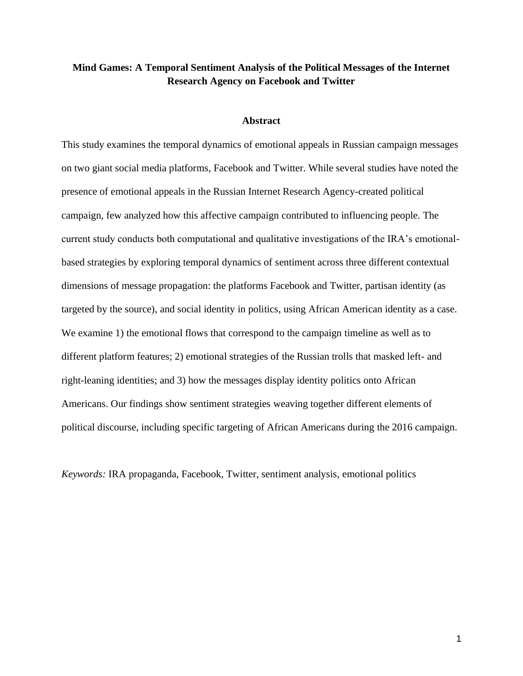# **Mind Games: A Temporal Sentiment Analysis of the Political Messages of the Internet Research Agency on Facebook and Twitter**

#### **Abstract**

This study examines the temporal dynamics of emotional appeals in Russian campaign messages on two giant social media platforms, Facebook and Twitter. While several studies have noted the presence of emotional appeals in the Russian Internet Research Agency-created political campaign, few analyzed how this affective campaign contributed to influencing people. The current study conducts both computational and qualitative investigations of the IRA's emotionalbased strategies by exploring temporal dynamics of sentiment across three different contextual dimensions of message propagation: the platforms Facebook and Twitter, partisan identity (as targeted by the source), and social identity in politics, using African American identity as a case. We examine 1) the emotional flows that correspond to the campaign timeline as well as to different platform features; 2) emotional strategies of the Russian trolls that masked left- and right-leaning identities; and 3) how the messages display identity politics onto African Americans. Our findings show sentiment strategies weaving together different elements of political discourse, including specific targeting of African Americans during the 2016 campaign.

*Keywords:* IRA propaganda, Facebook, Twitter, sentiment analysis, emotional politics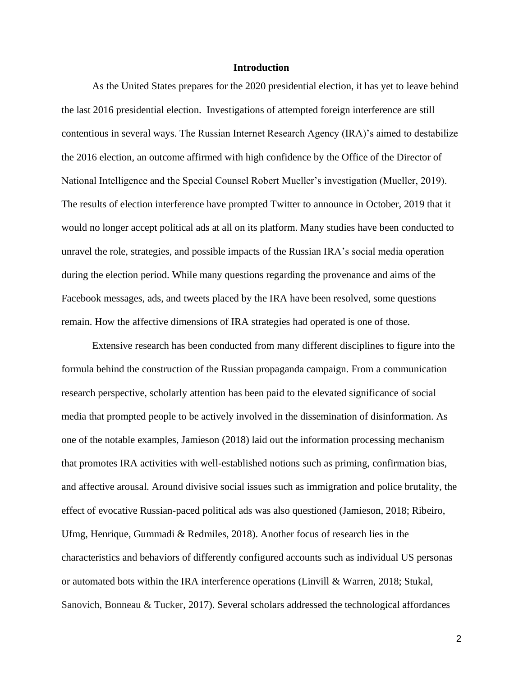# **Introduction**

As the United States prepares for the 2020 presidential election, it has yet to leave behind the last 2016 presidential election. Investigations of attempted foreign interference are still contentious in several ways. The Russian Internet Research Agency (IRA)'s aimed to destabilize the 2016 election, an outcome affirmed with high confidence by the Office of the Director of National Intelligence and the Special Counsel Robert Mueller's investigation (Mueller, 2019). The results of election interference have prompted Twitter to announce in October, 2019 that it would no longer accept political ads at all on its platform. Many studies have been conducted to unravel the role, strategies, and possible impacts of the Russian IRA's social media operation during the election period. While many questions regarding the provenance and aims of the Facebook messages, ads, and tweets placed by the IRA have been resolved, some questions remain. How the affective dimensions of IRA strategies had operated is one of those.

Extensive research has been conducted from many different disciplines to figure into the formula behind the construction of the Russian propaganda campaign. From a communication research perspective, scholarly attention has been paid to the elevated significance of social media that prompted people to be actively involved in the dissemination of disinformation. As one of the notable examples, Jamieson (2018) laid out the information processing mechanism that promotes IRA activities with well-established notions such as priming, confirmation bias, and affective arousal. Around divisive social issues such as immigration and police brutality, the effect of evocative Russian-paced political ads was also questioned (Jamieson, 2018; Ribeiro, Ufmg, Henrique, Gummadi & Redmiles, 2018). Another focus of research lies in the characteristics and behaviors of differently configured accounts such as individual US personas or automated bots within the IRA interference operations (Linvill & Warren, 2018; Stukal, Sanovich, Bonneau & Tucker, 2017). Several scholars addressed the technological affordances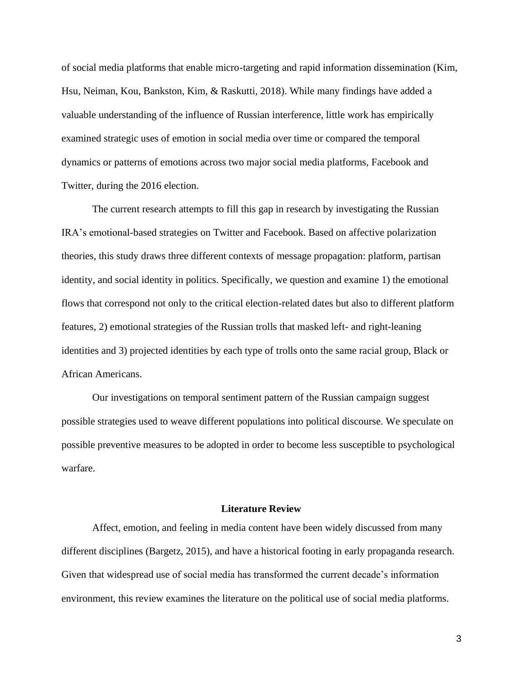of social media platforms that enable micro-targeting and rapid information dissemination (Kim, Hsu, Neiman, Kou, Bankston, Kim, & Raskutti, 2018). While many findings have added a valuable understanding of the influence of Russian interference, little work has empirically examined strategic uses of emotion in social media over time or compared the temporal dynamics or patterns of emotions across two major social media platforms, Facebook and Twitter, during the 2016 election.

The current research attempts to fill this gap in research by investigating the Russian IRA's emotional-based strategies on Twitter and Facebook. Based on affective polarization theories, this study draws three different contexts of message propagation: platform, partisan identity, and social identity in politics. Specifically, we question and examine 1) the emotional flows that correspond not only to the critical election-related dates but also to different platform features, 2) emotional strategies of the Russian trolls that masked left- and right-leaning identities and 3) projected identities by each type of trolls onto the same racial group, Black or African Americans.

Our investigations on temporal sentiment pattern of the Russian campaign suggest possible strategies used to weave different populations into political discourse. We speculate on possible preventive measures to be adopted in order to become less susceptible to psychological warfare.

# **Literature Review**

Affect, emotion, and feeling in media content have been widely discussed from many different disciplines (Bargetz, 2015), and have a historical footing in early propaganda research. Given that widespread use of social media has transformed the current decade's information environment, this review examines the literature on the political use of social media platforms.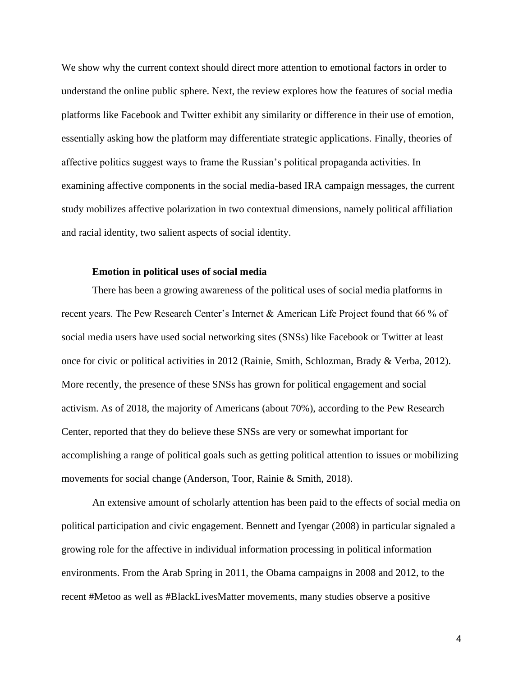We show why the current context should direct more attention to emotional factors in order to understand the online public sphere. Next, the review explores how the features of social media platforms like Facebook and Twitter exhibit any similarity or difference in their use of emotion, essentially asking how the platform may differentiate strategic applications. Finally, theories of affective politics suggest ways to frame the Russian's political propaganda activities. In examining affective components in the social media-based IRA campaign messages, the current study mobilizes affective polarization in two contextual dimensions, namely political affiliation and racial identity, two salient aspects of social identity.

## **Emotion in political uses of social media**

There has been a growing awareness of the political uses of social media platforms in recent years. The Pew Research Center's Internet & American Life Project found that 66 % of social media users have used social networking sites (SNSs) like Facebook or Twitter at least once for civic or political activities in 2012 (Rainie, Smith, Schlozman, Brady & Verba, 2012). More recently, the presence of these SNSs has grown for political engagement and social activism. As of 2018, the majority of Americans (about 70%), according to the Pew Research Center, reported that they do believe these SNSs are very or somewhat important for accomplishing a range of political goals such as getting political attention to issues or mobilizing movements for social change (Anderson, Toor, Rainie & Smith, 2018).

An extensive amount of scholarly attention has been paid to the effects of social media on political participation and civic engagement. Bennett and Iyengar (2008) in particular signaled a growing role for the affective in individual information processing in political information environments. From the Arab Spring in 2011, the Obama campaigns in 2008 and 2012, to the recent #Metoo as well as #BlackLivesMatter movements, many studies observe a positive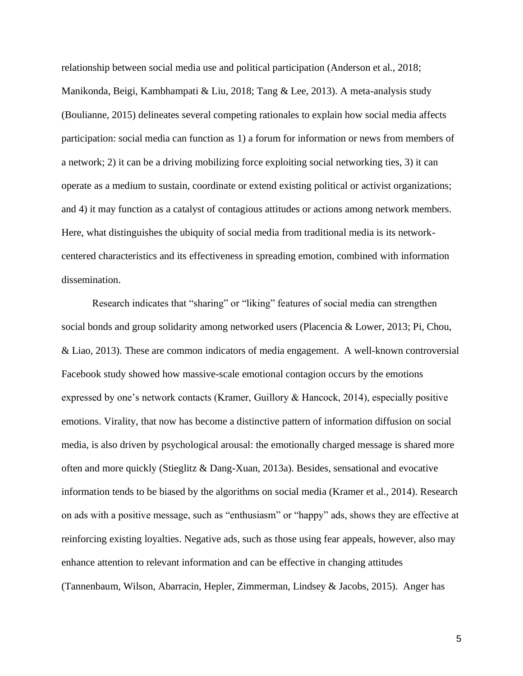relationship between social media use and political participation (Anderson et al., 2018; Manikonda, Beigi, Kambhampati & Liu, 2018; Tang & Lee, 2013). A meta-analysis study (Boulianne, 2015) delineates several competing rationales to explain how social media affects participation: social media can function as 1) a forum for information or news from members of a network; 2) it can be a driving mobilizing force exploiting social networking ties, 3) it can operate as a medium to sustain, coordinate or extend existing political or activist organizations; and 4) it may function as a catalyst of contagious attitudes or actions among network members. Here, what distinguishes the ubiquity of social media from traditional media is its networkcentered characteristics and its effectiveness in spreading emotion, combined with information dissemination.

Research indicates that "sharing" or "liking" features of social media can strengthen social bonds and group solidarity among networked users (Placencia & Lower, 2013; Pi, Chou, & Liao, 2013). These are common indicators of media engagement. A well-known controversial Facebook study showed how massive-scale emotional contagion occurs by the emotions expressed by one's network contacts (Kramer, Guillory & Hancock, 2014), especially positive emotions. Virality, that now has become a distinctive pattern of information diffusion on social media, is also driven by psychological arousal: the emotionally charged message is shared more often and more quickly (Stieglitz & Dang-Xuan, 2013a). Besides, sensational and evocative information tends to be biased by the algorithms on social media (Kramer et al., 2014). Research on ads with a positive message, such as "enthusiasm" or "happy" ads, shows they are effective at reinforcing existing loyalties. Negative ads, such as those using fear appeals, however, also may enhance attention to relevant information and can be effective in changing attitudes (Tannenbaum, Wilson, Abarracin, Hepler, Zimmerman, Lindsey & Jacobs, 2015). Anger has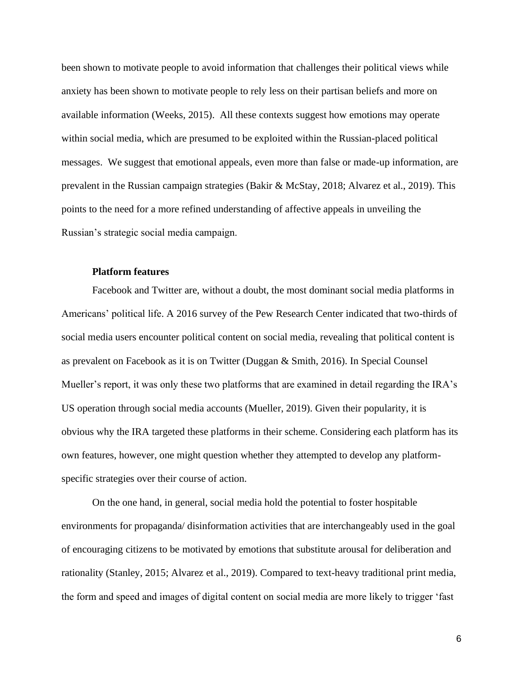been shown to motivate people to avoid information that challenges their political views while anxiety has been shown to motivate people to rely less on their partisan beliefs and more on available information (Weeks, 2015). All these contexts suggest how emotions may operate within social media, which are presumed to be exploited within the Russian-placed political messages. We suggest that emotional appeals, even more than false or made-up information, are prevalent in the Russian campaign strategies (Bakir & McStay, 2018; Alvarez et al., 2019). This points to the need for a more refined understanding of affective appeals in unveiling the Russian's strategic social media campaign.

### **Platform features**

Facebook and Twitter are, without a doubt, the most dominant social media platforms in Americans' political life. A 2016 survey of the Pew Research Center indicated that two-thirds of social media users encounter political content on social media, revealing that political content is as prevalent on Facebook as it is on Twitter (Duggan & Smith, 2016). In Special Counsel Mueller's report, it was only these two platforms that are examined in detail regarding the IRA's US operation through social media accounts (Mueller, 2019). Given their popularity, it is obvious why the IRA targeted these platforms in their scheme. Considering each platform has its own features, however, one might question whether they attempted to develop any platformspecific strategies over their course of action.

On the one hand, in general, social media hold the potential to foster hospitable environments for propaganda/ disinformation activities that are interchangeably used in the goal of encouraging citizens to be motivated by emotions that substitute arousal for deliberation and rationality (Stanley, 2015; Alvarez et al., 2019). Compared to text-heavy traditional print media, the form and speed and images of digital content on social media are more likely to trigger 'fast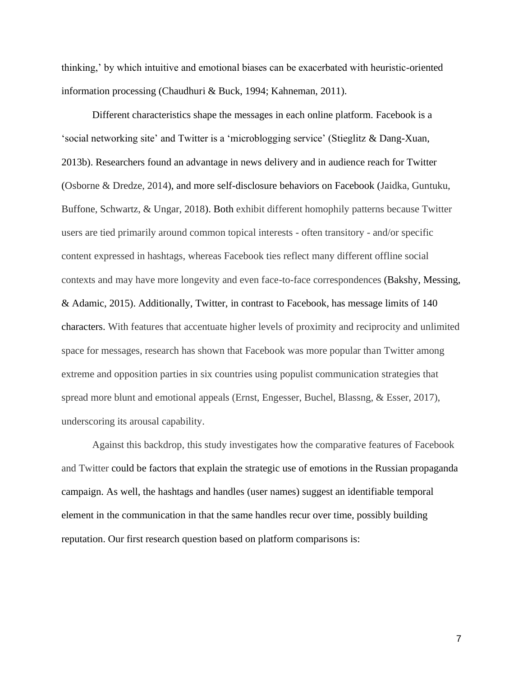thinking,' by which intuitive and emotional biases can be exacerbated with heuristic-oriented information processing (Chaudhuri & Buck, 1994; Kahneman, 2011).

Different characteristics shape the messages in each online platform. Facebook is a 'social networking site' and Twitter is a 'microblogging service' (Stieglitz & Dang-Xuan, 2013b). Researchers found an advantage in news delivery and in audience reach for Twitter (Osborne & Dredze, 2014), and more self-disclosure behaviors on Facebook (Jaidka, Guntuku, Buffone, Schwartz, & Ungar, 2018). Both exhibit different homophily patterns because Twitter users are tied primarily around common topical interests - often transitory - and/or specific content expressed in hashtags, whereas Facebook ties reflect many different offline social contexts and may have more longevity and even face-to-face correspondences (Bakshy, Messing, & Adamic, 2015). Additionally, Twitter, in contrast to Facebook, has message limits of 140 characters. With features that accentuate higher levels of proximity and reciprocity and unlimited space for messages, research has shown that Facebook was more popular than Twitter among extreme and opposition parties in six countries using populist communication strategies that spread more blunt and emotional appeals (Ernst, Engesser, Buchel, Blassng, & Esser, 2017), underscoring its arousal capability.

Against this backdrop, this study investigates how the comparative features of Facebook and Twitter could be factors that explain the strategic use of emotions in the Russian propaganda campaign. As well, the hashtags and handles (user names) suggest an identifiable temporal element in the communication in that the same handles recur over time, possibly building reputation. Our first research question based on platform comparisons is: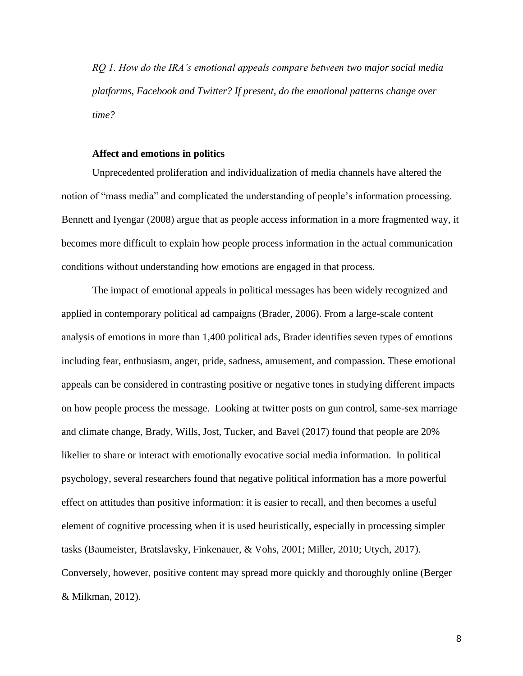*RQ 1. How do the IRA's emotional appeals compare between two major social media platforms, Facebook and Twitter? If present, do the emotional patterns change over time?* 

#### **Affect and emotions in politics**

Unprecedented proliferation and individualization of media channels have altered the notion of "mass media" and complicated the understanding of people's information processing. Bennett and Iyengar (2008) argue that as people access information in a more fragmented way, it becomes more difficult to explain how people process information in the actual communication conditions without understanding how emotions are engaged in that process.

The impact of emotional appeals in political messages has been widely recognized and applied in contemporary political ad campaigns (Brader, 2006). From a large-scale content analysis of emotions in more than 1,400 political ads, Brader identifies seven types of emotions including fear, enthusiasm, anger, pride, sadness, amusement, and compassion. These emotional appeals can be considered in contrasting positive or negative tones in studying different impacts on how people process the message. Looking at twitter posts on gun control, same-sex marriage and climate change, Brady, Wills, Jost, Tucker, and Bavel (2017) found that people are 20% likelier to share or interact with emotionally evocative social media information. In political psychology, several researchers found that negative political information has a more powerful effect on attitudes than positive information: it is easier to recall, and then becomes a useful element of cognitive processing when it is used heuristically, especially in processing simpler tasks (Baumeister, Bratslavsky, Finkenauer, & Vohs, 2001; Miller, 2010; Utych, 2017). Conversely, however, positive content may spread more quickly and thoroughly online (Berger & Milkman, 2012).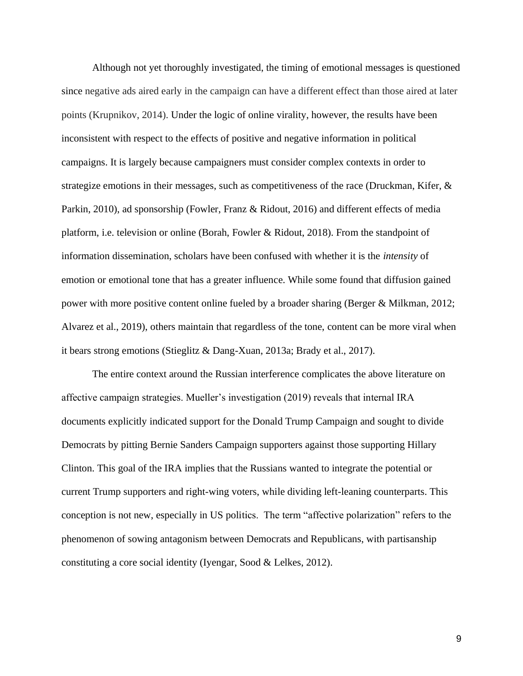Although not yet thoroughly investigated, the timing of emotional messages is questioned since negative ads aired early in the campaign can have a different effect than those aired at later points (Krupnikov, 2014). Under the logic of online virality, however, the results have been inconsistent with respect to the effects of positive and negative information in political campaigns. It is largely because campaigners must consider complex contexts in order to strategize emotions in their messages, such as competitiveness of the race (Druckman, Kifer, & Parkin, 2010), ad sponsorship (Fowler, Franz & Ridout, 2016) and different effects of media platform, i.e. television or online (Borah, Fowler & Ridout, 2018). From the standpoint of information dissemination, scholars have been confused with whether it is the *intensity* of emotion or emotional tone that has a greater influence. While some found that diffusion gained power with more positive content online fueled by a broader sharing (Berger & Milkman, 2012; Alvarez et al., 2019), others maintain that regardless of the tone, content can be more viral when it bears strong emotions (Stieglitz & Dang-Xuan, 2013a; Brady et al., 2017).

The entire context around the Russian interference complicates the above literature on affective campaign strategies. Mueller's investigation (2019) reveals that internal IRA documents explicitly indicated support for the Donald Trump Campaign and sought to divide Democrats by pitting Bernie Sanders Campaign supporters against those supporting Hillary Clinton. This goal of the IRA implies that the Russians wanted to integrate the potential or current Trump supporters and right-wing voters, while dividing left-leaning counterparts. This conception is not new, especially in US politics. The term "affective polarization" refers to the phenomenon of sowing antagonism between Democrats and Republicans, with partisanship constituting a core social identity (Iyengar, Sood & Lelkes, 2012).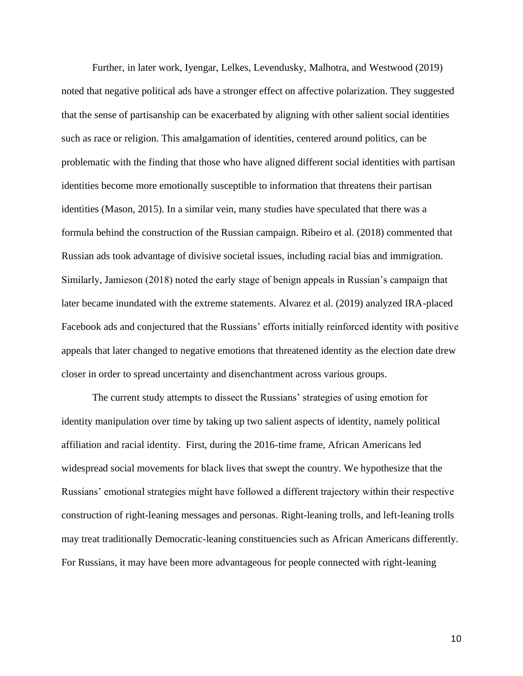Further, in later work, Iyengar, Lelkes, Levendusky, Malhotra, and Westwood (2019) noted that negative political ads have a stronger effect on affective polarization. They suggested that the sense of partisanship can be exacerbated by aligning with other salient social identities such as race or religion. This amalgamation of identities, centered around politics, can be problematic with the finding that those who have aligned different social identities with partisan identities become more emotionally susceptible to information that threatens their partisan identities (Mason, 2015). In a similar vein, many studies have speculated that there was a formula behind the construction of the Russian campaign. Ribeiro et al. (2018) commented that Russian ads took advantage of divisive societal issues, including racial bias and immigration. Similarly, Jamieson (2018) noted the early stage of benign appeals in Russian's campaign that later became inundated with the extreme statements. Alvarez et al. (2019) analyzed IRA-placed Facebook ads and conjectured that the Russians' efforts initially reinforced identity with positive appeals that later changed to negative emotions that threatened identity as the election date drew closer in order to spread uncertainty and disenchantment across various groups.

The current study attempts to dissect the Russians' strategies of using emotion for identity manipulation over time by taking up two salient aspects of identity, namely political affiliation and racial identity. First, during the 2016-time frame, African Americans led widespread social movements for black lives that swept the country. We hypothesize that the Russians' emotional strategies might have followed a different trajectory within their respective construction of right-leaning messages and personas. Right-leaning trolls, and left-leaning trolls may treat traditionally Democratic-leaning constituencies such as African Americans differently. For Russians, it may have been more advantageous for people connected with right-leaning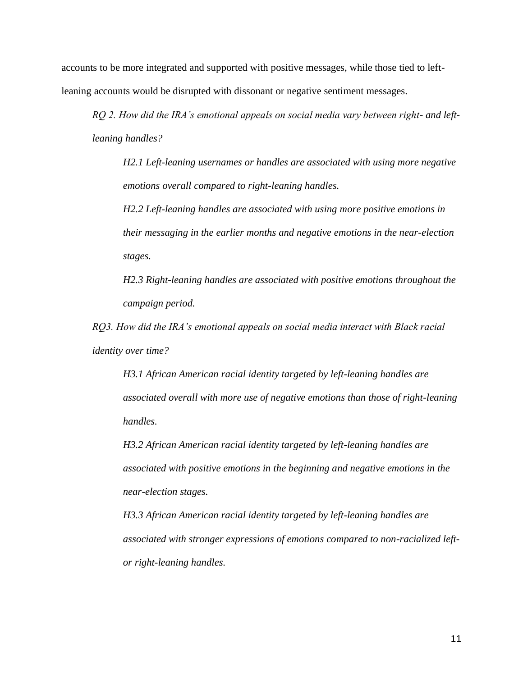accounts to be more integrated and supported with positive messages, while those tied to leftleaning accounts would be disrupted with dissonant or negative sentiment messages.

*RQ 2. How did the IRA's emotional appeals on social media vary between right- and leftleaning handles?* 

*H2.1 Left-leaning usernames or handles are associated with using more negative emotions overall compared to right-leaning handles.*

*H2.2 Left-leaning handles are associated with using more positive emotions in their messaging in the earlier months and negative emotions in the near-election stages.*

*H2.3 Right-leaning handles are associated with positive emotions throughout the campaign period.*

*RQ3. How did the IRA's emotional appeals on social media interact with Black racial identity over time?*

*H3.1 African American racial identity targeted by left-leaning handles are associated overall with more use of negative emotions than those of right-leaning handles.*

*H3.2 African American racial identity targeted by left-leaning handles are associated with positive emotions in the beginning and negative emotions in the near-election stages.*

*H3.3 African American racial identity targeted by left-leaning handles are associated with stronger expressions of emotions compared to non-racialized leftor right-leaning handles.*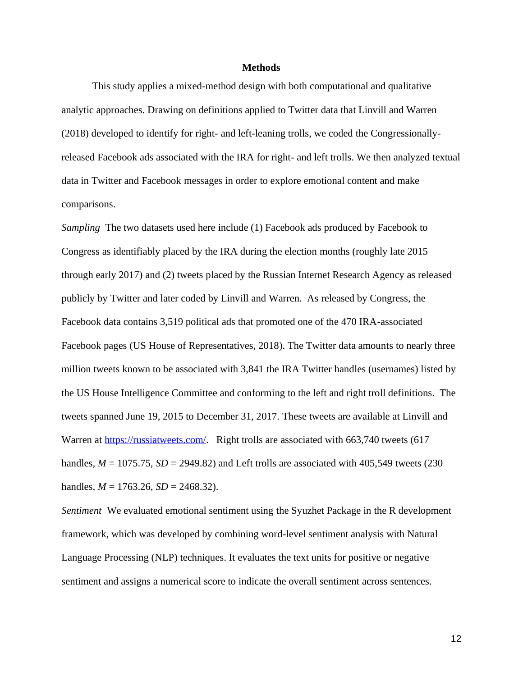#### **Methods**

This study applies a mixed-method design with both computational and qualitative analytic approaches. Drawing on definitions applied to Twitter data that Linvill and Warren (2018) developed to identify for right- and left-leaning trolls, we coded the Congressionallyreleased Facebook ads associated with the IRA for right- and left trolls. We then analyzed textual data in Twitter and Facebook messages in order to explore emotional content and make comparisons.

*Sampling* The two datasets used here include (1) Facebook ads produced by Facebook to Congress as identifiably placed by the IRA during the election months (roughly late 2015 through early 2017) and (2) tweets placed by the Russian Internet Research Agency as released publicly by Twitter and later coded by Linvill and Warren. As released by Congress, the Facebook data contains 3,519 political ads that promoted one of the 470 IRA-associated Facebook pages (US House of Representatives, 2018). The Twitter data amounts to nearly three million tweets known to be associated with 3,841 the IRA Twitter handles (usernames) listed by the US House Intelligence Committee and conforming to the left and right troll definitions. The tweets spanned June 19, 2015 to December 31, 2017. These tweets are available at Linvill and Warren at [https://russiatweets.com/.](https://russiatweets.com/) Right trolls are associated with 663,740 tweets (617 handles,  $M = 1075.75$ ,  $SD = 2949.82$ ) and Left trolls are associated with 405,549 tweets (230) handles,  $M = 1763.26$ ,  $SD = 2468.32$ ).

*Sentiment* We evaluated emotional sentiment using the Syuzhet Package in the R development framework, which was developed by combining word-level sentiment analysis with Natural Language Processing (NLP) techniques. It evaluates the text units for positive or negative sentiment and assigns a numerical score to indicate the overall sentiment across sentences.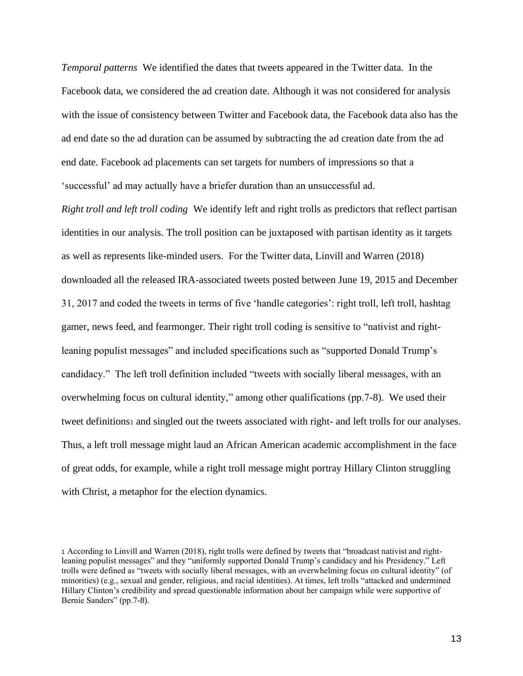*Temporal patterns* We identified the dates that tweets appeared in the Twitter data. In the Facebook data, we considered the ad creation date. Although it was not considered for analysis with the issue of consistency between Twitter and Facebook data, the Facebook data also has the ad end date so the ad duration can be assumed by subtracting the ad creation date from the ad end date. Facebook ad placements can set targets for numbers of impressions so that a 'successful' ad may actually have a briefer duration than an unsuccessful ad.

*Right troll and left troll coding* We identify left and right trolls as predictors that reflect partisan identities in our analysis. The troll position can be juxtaposed with partisan identity as it targets as well as represents like-minded users. For the Twitter data, Linvill and Warren (2018) downloaded all the released IRA-associated tweets posted between June 19, 2015 and December 31, 2017 and coded the tweets in terms of five 'handle categories': right troll, left troll, hashtag gamer, news feed, and fearmonger. Their right troll coding is sensitive to "nativist and rightleaning populist messages" and included specifications such as "supported Donald Trump's candidacy." The left troll definition included "tweets with socially liberal messages, with an overwhelming focus on cultural identity," among other qualifications (pp.7-8). We used their tweet definitions<sup>1</sup> and singled out the tweets associated with right- and left trolls for our analyses. Thus, a left troll message might laud an African American academic accomplishment in the face of great odds, for example, while a right troll message might portray Hillary Clinton struggling with Christ, a metaphor for the election dynamics.

<sup>1</sup> According to Linvill and Warren (2018), right trolls were defined by tweets that "broadcast nativist and rightleaning populist messages" and they "uniformly supported Donald Trump's candidacy and his Presidency." Left trolls were defined as "tweets with socially liberal messages, with an overwhelming focus on cultural identity" (of minorities) (e.g., sexual and gender, religious, and racial identities). At times, left trolls "attacked and undermined Hillary Clinton's credibility and spread questionable information about her campaign while were supportive of Bernie Sanders" (pp.7-8).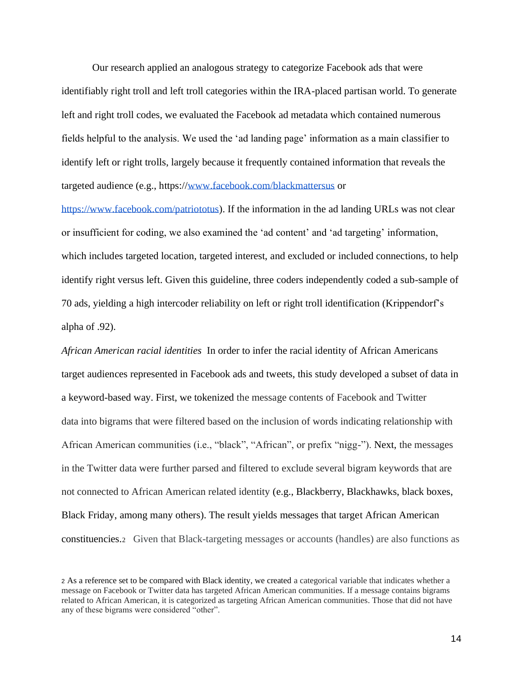Our research applied an analogous strategy to categorize Facebook ads that were identifiably right troll and left troll categories within the IRA-placed partisan world. To generate left and right troll codes, we evaluated the Facebook ad metadata which contained numerous fields helpful to the analysis. We used the 'ad landing page' information as a main classifier to identify left or right trolls, largely because it frequently contained information that reveals the targeted audience (e.g., https:/[/www.facebook.com/blackmattersus](http://www.facebook.com/blackmattersus) or

[https://www.facebook.com/patriototus\)](https://www.facebook.com/patriototus). If the information in the ad landing URLs was not clear or insufficient for coding, we also examined the 'ad content' and 'ad targeting' information, which includes targeted location, targeted interest, and excluded or included connections, to help identify right versus left. Given this guideline, three coders independently coded a sub-sample of 70 ads, yielding a high intercoder reliability on left or right troll identification (Krippendorf's alpha of .92).

*African American racial identities* In order to infer the racial identity of African Americans target audiences represented in Facebook ads and tweets, this study developed a subset of data in a keyword-based way. First, we tokenized the message contents of Facebook and Twitter data into bigrams that were filtered based on the inclusion of words indicating relationship with African American communities (i.e., "black", "African", or prefix "nigg-"). Next, the messages in the Twitter data were further parsed and filtered to exclude several bigram keywords that are not connected to African American related identity (e.g., Blackberry, Blackhawks, black boxes, Black Friday, among many others). The result yields messages that target African American constituencies.2 Given that Black-targeting messages or accounts (handles) are also functions as

<sup>2</sup> As a reference set to be compared with Black identity, we created a categorical variable that indicates whether a message on Facebook or Twitter data has targeted African American communities. If a message contains bigrams related to African American, it is categorized as targeting African American communities. Those that did not have any of these bigrams were considered "other".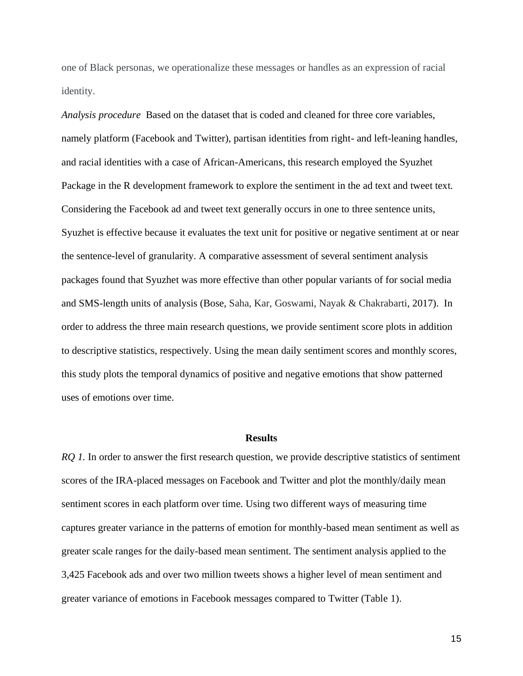one of Black personas, we operationalize these messages or handles as an expression of racial identity.

*Analysis procedure* Based on the dataset that is coded and cleaned for three core variables, namely platform (Facebook and Twitter), partisan identities from right- and left-leaning handles, and racial identities with a case of African-Americans, this research employed the Syuzhet Package in the R development framework to explore the sentiment in the ad text and tweet text. Considering the Facebook ad and tweet text generally occurs in one to three sentence units, Syuzhet is effective because it evaluates the text unit for positive or negative sentiment at or near the sentence-level of granularity. A comparative assessment of several sentiment analysis packages found that Syuzhet was more effective than other popular variants of for social media and SMS-length units of analysis (Bose, Saha, Kar, Goswami, Nayak & Chakrabarti, 2017). In order to address the three main research questions, we provide sentiment score plots in addition to descriptive statistics, respectively. Using the mean daily sentiment scores and monthly scores, this study plots the temporal dynamics of positive and negative emotions that show patterned uses of emotions over time.

#### **Results**

*RQ 1.* In order to answer the first research question, we provide descriptive statistics of sentiment scores of the IRA-placed messages on Facebook and Twitter and plot the monthly/daily mean sentiment scores in each platform over time. Using two different ways of measuring time captures greater variance in the patterns of emotion for monthly-based mean sentiment as well as greater scale ranges for the daily-based mean sentiment. The sentiment analysis applied to the 3,425 Facebook ads and over two million tweets shows a higher level of mean sentiment and greater variance of emotions in Facebook messages compared to Twitter (Table 1).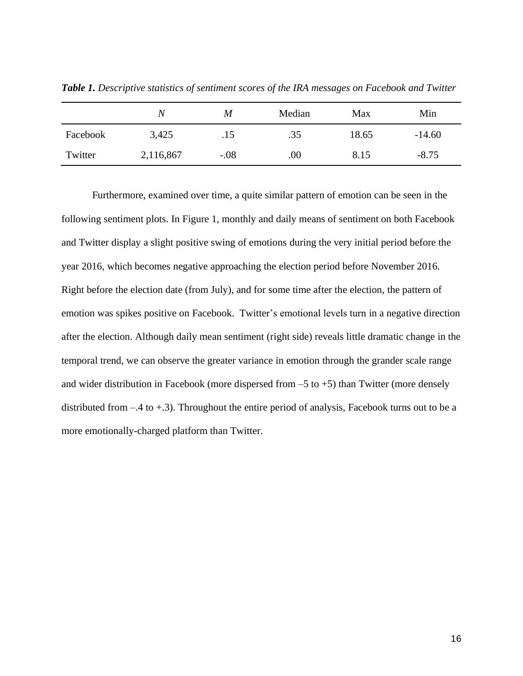|          | $\,N$     | M      | Median | Max   | Min      |
|----------|-----------|--------|--------|-------|----------|
| Facebook | 3,425     | .15    | .35    | 18.65 | $-14.60$ |
| Twitter  | 2,116,867 | $-.08$ | .00    | 8.15  | $-8.75$  |

*Table 1. Descriptive statistics of sentiment scores of the IRA messages on Facebook and Twitter*

Furthermore, examined over time, a quite similar pattern of emotion can be seen in the following sentiment plots. In Figure 1, monthly and daily means of sentiment on both Facebook and Twitter display a slight positive swing of emotions during the very initial period before the year 2016, which becomes negative approaching the election period before November 2016. Right before the election date (from July), and for some time after the election, the pattern of emotion was spikes positive on Facebook. Twitter's emotional levels turn in a negative direction after the election. Although daily mean sentiment (right side) reveals little dramatic change in the temporal trend, we can observe the greater variance in emotion through the grander scale range and wider distribution in Facebook (more dispersed from  $-5$  to  $+5$ ) than Twitter (more densely distributed from –.4 to +.3). Throughout the entire period of analysis, Facebook turns out to be a more emotionally-charged platform than Twitter.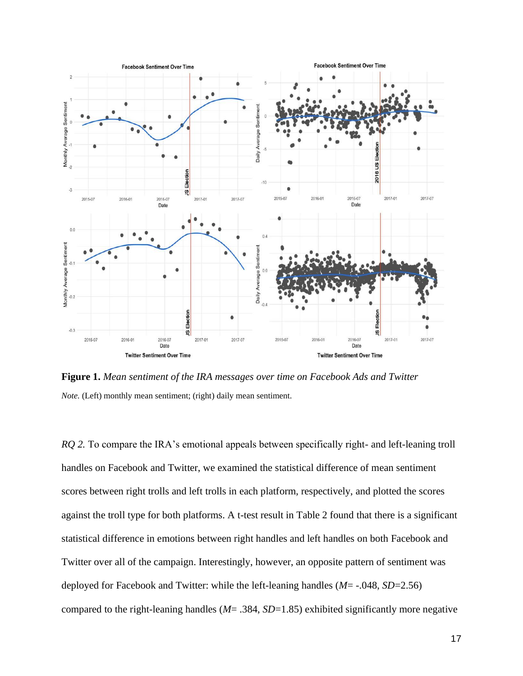

**Figure 1.** *Mean sentiment of the IRA messages over time on Facebook Ads and Twitter Note.* (Left) monthly mean sentiment; (right) daily mean sentiment.

*RQ 2.* To compare the IRA's emotional appeals between specifically right- and left-leaning troll handles on Facebook and Twitter, we examined the statistical difference of mean sentiment scores between right trolls and left trolls in each platform, respectively, and plotted the scores against the troll type for both platforms. A t-test result in Table 2 found that there is a significant statistical difference in emotions between right handles and left handles on both Facebook and Twitter over all of the campaign. Interestingly, however, an opposite pattern of sentiment was deployed for Facebook and Twitter: while the left-leaning handles (*M*= -.048, *SD*=2.56) compared to the right-leaning handles (*M*= .384, *SD*=1.85) exhibited significantly more negative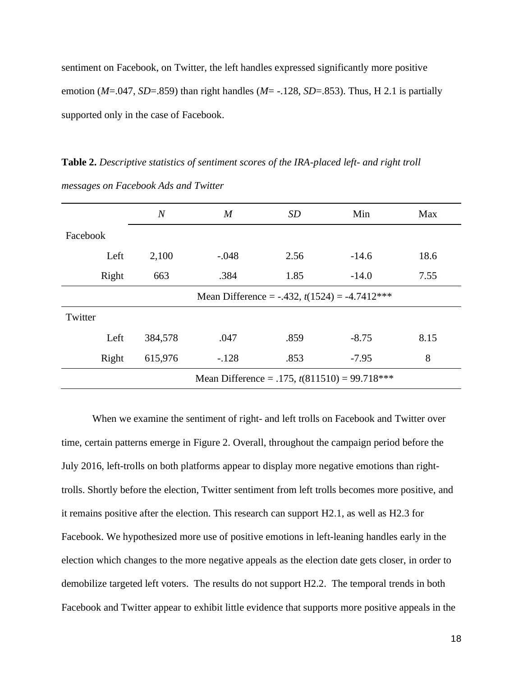sentiment on Facebook, on Twitter, the left handles expressed significantly more positive emotion (*M*=.047, *SD*=.859) than right handles (*M*= -.128, *SD*=.853). Thus, H 2.1 is partially supported only in the case of Facebook.

**Table 2.** *Descriptive statistics of sentiment scores of the IRA-placed left- and right troll messages on Facebook Ads and Twitter*

|                                                 | $\overline{N}$                                     | $\boldsymbol{M}$ | SD   | Min     | Max  |  |  |
|-------------------------------------------------|----------------------------------------------------|------------------|------|---------|------|--|--|
| Facebook                                        |                                                    |                  |      |         |      |  |  |
| Left                                            | 2,100                                              | $-.048$          | 2.56 | $-14.6$ | 18.6 |  |  |
| Right                                           | 663                                                | .384             | 1.85 | $-14.0$ | 7.55 |  |  |
|                                                 | Mean Difference = $-.432$ , $t(1524) = -4.7412***$ |                  |      |         |      |  |  |
| Twitter                                         |                                                    |                  |      |         |      |  |  |
| Left                                            | 384,578                                            | .047             | .859 | $-8.75$ | 8.15 |  |  |
| Right                                           | 615,976                                            | $-.128$          | .853 | $-7.95$ | 8    |  |  |
| Mean Difference = .175, $t(811510) = 99.718***$ |                                                    |                  |      |         |      |  |  |

When we examine the sentiment of right- and left trolls on Facebook and Twitter over time, certain patterns emerge in Figure 2. Overall, throughout the campaign period before the July 2016, left-trolls on both platforms appear to display more negative emotions than righttrolls. Shortly before the election, Twitter sentiment from left trolls becomes more positive, and it remains positive after the election. This research can support H2.1, as well as H2.3 for Facebook. We hypothesized more use of positive emotions in left-leaning handles early in the election which changes to the more negative appeals as the election date gets closer, in order to demobilize targeted left voters. The results do not support H2.2. The temporal trends in both Facebook and Twitter appear to exhibit little evidence that supports more positive appeals in the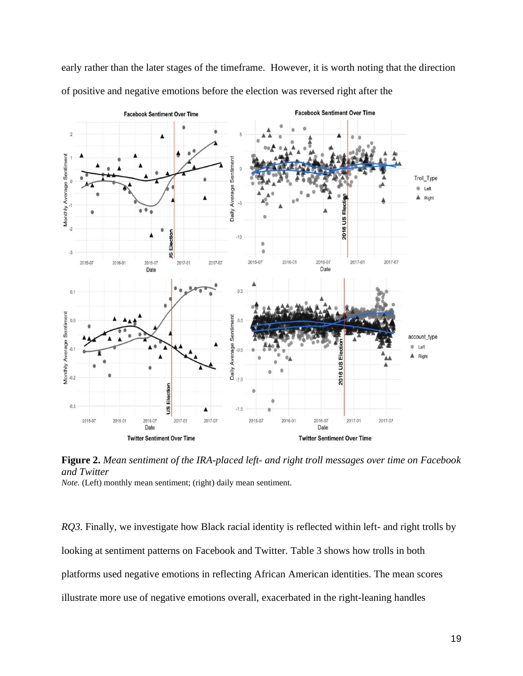early rather than the later stages of the timeframe. However, it is worth noting that the direction of positive and negative emotions before the election was reversed right after the



**Figure 2.** *Mean sentiment of the IRA-placed left- and right troll messages over time on Facebook and Twitter Note.* (Left) monthly mean sentiment; (right) daily mean sentiment.

*RQ3*. Finally, we investigate how Black racial identity is reflected within left- and right trolls by looking at sentiment patterns on Facebook and Twitter. Table 3 shows how trolls in both platforms used negative emotions in reflecting African American identities. The mean scores illustrate more use of negative emotions overall, exacerbated in the right-leaning handles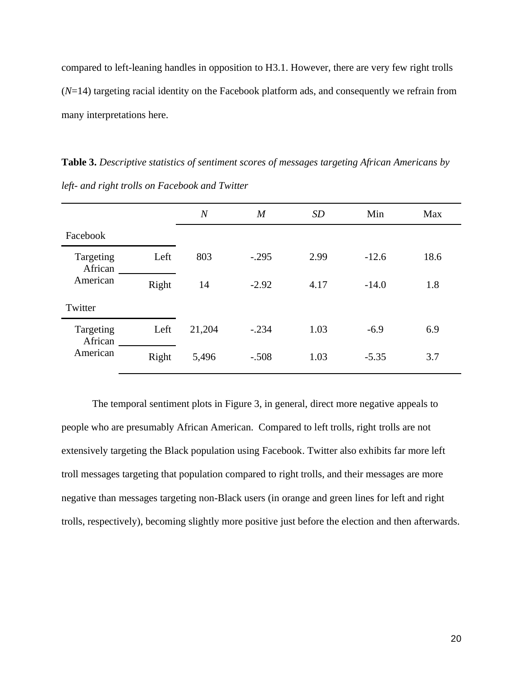compared to left-leaning handles in opposition to H3.1. However, there are very few right trolls (*N*=14) targeting racial identity on the Facebook platform ads, and consequently we refrain from many interpretations here.

**Table 3.** *Descriptive statistics of sentiment scores of messages targeting African Americans by left- and right trolls on Facebook and Twitter*

|                                  |       | $\overline{N}$ | $\boldsymbol{M}$ | SD   | Min     | Max  |
|----------------------------------|-------|----------------|------------------|------|---------|------|
| Facebook                         |       |                |                  |      |         |      |
| Targeting<br>African<br>American | Left  | 803            | $-.295$          | 2.99 | $-12.6$ | 18.6 |
|                                  | Right | 14             | $-2.92$          | 4.17 | $-14.0$ | 1.8  |
| Twitter                          |       |                |                  |      |         |      |
| Targeting<br>African             | Left  | 21,204         | $-.234$          | 1.03 | $-6.9$  | 6.9  |
| American                         | Right | 5,496          | $-.508$          | 1.03 | $-5.35$ | 3.7  |

The temporal sentiment plots in Figure 3, in general, direct more negative appeals to people who are presumably African American. Compared to left trolls, right trolls are not extensively targeting the Black population using Facebook. Twitter also exhibits far more left troll messages targeting that population compared to right trolls, and their messages are more negative than messages targeting non-Black users (in orange and green lines for left and right trolls, respectively), becoming slightly more positive just before the election and then afterwards.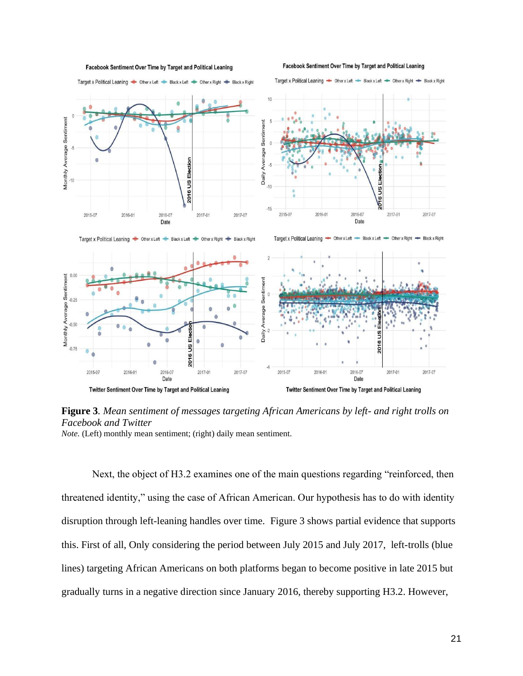

Facebook Sentiment Over Time by Target and Political Leaning Target x Political Leaning Cher x Left Chack x Left Cher x Right Chack x Right

Facebook Sentiment Over Time by Target and Political Leaning

Target x Political Leaning - Other x Left - Black x Left - Other x Right - Black x Right

**Figure 3***. Mean sentiment of messages targeting African Americans by left- and right trolls on Facebook and Twitter Note.* (Left) monthly mean sentiment; (right) daily mean sentiment.

Next, the object of H3.2 examines one of the main questions regarding "reinforced, then threatened identity," using the case of African American. Our hypothesis has to do with identity disruption through left-leaning handles over time. Figure 3 shows partial evidence that supports this. First of all, Only considering the period between July 2015 and July 2017, left-trolls (blue lines) targeting African Americans on both platforms began to become positive in late 2015 but gradually turns in a negative direction since January 2016, thereby supporting H3.2. However,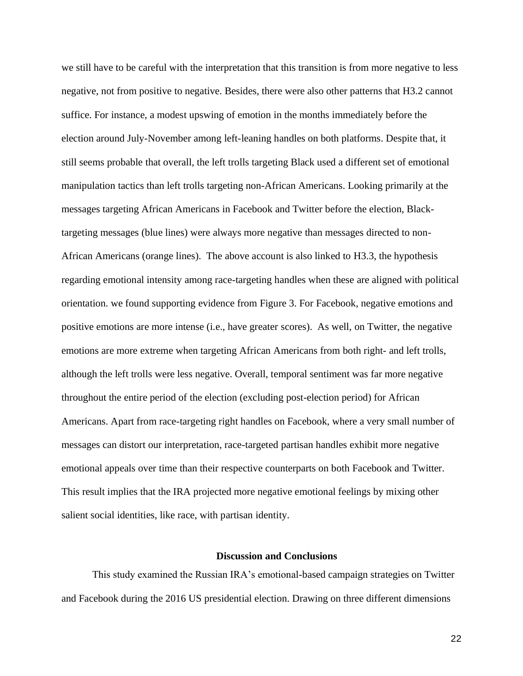we still have to be careful with the interpretation that this transition is from more negative to less negative, not from positive to negative. Besides, there were also other patterns that H3.2 cannot suffice. For instance, a modest upswing of emotion in the months immediately before the election around July-November among left-leaning handles on both platforms. Despite that, it still seems probable that overall, the left trolls targeting Black used a different set of emotional manipulation tactics than left trolls targeting non-African Americans. Looking primarily at the messages targeting African Americans in Facebook and Twitter before the election, Blacktargeting messages (blue lines) were always more negative than messages directed to non-African Americans (orange lines). The above account is also linked to H3.3, the hypothesis regarding emotional intensity among race-targeting handles when these are aligned with political orientation. we found supporting evidence from Figure 3. For Facebook, negative emotions and positive emotions are more intense (i.e., have greater scores). As well, on Twitter, the negative emotions are more extreme when targeting African Americans from both right- and left trolls, although the left trolls were less negative. Overall, temporal sentiment was far more negative throughout the entire period of the election (excluding post-election period) for African Americans. Apart from race-targeting right handles on Facebook, where a very small number of messages can distort our interpretation, race-targeted partisan handles exhibit more negative emotional appeals over time than their respective counterparts on both Facebook and Twitter. This result implies that the IRA projected more negative emotional feelings by mixing other salient social identities, like race, with partisan identity.

## **Discussion and Conclusions**

This study examined the Russian IRA's emotional-based campaign strategies on Twitter and Facebook during the 2016 US presidential election. Drawing on three different dimensions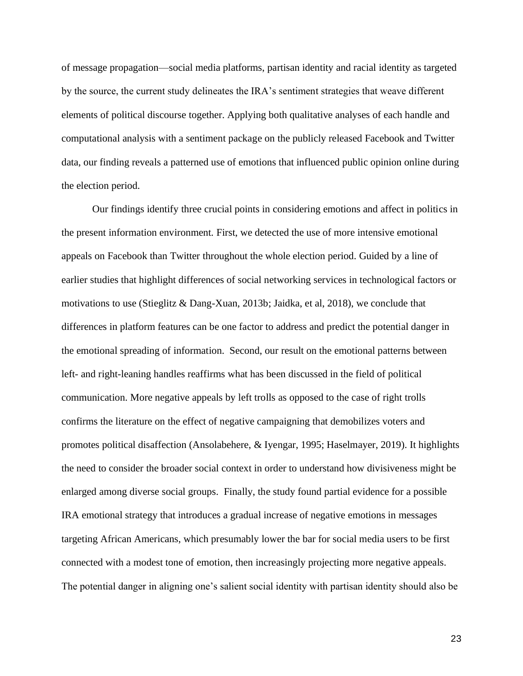of message propagation—social media platforms, partisan identity and racial identity as targeted by the source, the current study delineates the IRA's sentiment strategies that weave different elements of political discourse together. Applying both qualitative analyses of each handle and computational analysis with a sentiment package on the publicly released Facebook and Twitter data, our finding reveals a patterned use of emotions that influenced public opinion online during the election period.

Our findings identify three crucial points in considering emotions and affect in politics in the present information environment. First, we detected the use of more intensive emotional appeals on Facebook than Twitter throughout the whole election period. Guided by a line of earlier studies that highlight differences of social networking services in technological factors or motivations to use (Stieglitz & Dang-Xuan, 2013b; Jaidka, et al, 2018), we conclude that differences in platform features can be one factor to address and predict the potential danger in the emotional spreading of information. Second, our result on the emotional patterns between left- and right-leaning handles reaffirms what has been discussed in the field of political communication. More negative appeals by left trolls as opposed to the case of right trolls confirms the literature on the effect of negative campaigning that demobilizes voters and promotes political disaffection (Ansolabehere, & Iyengar, 1995; Haselmayer, 2019). It highlights the need to consider the broader social context in order to understand how divisiveness might be enlarged among diverse social groups. Finally, the study found partial evidence for a possible IRA emotional strategy that introduces a gradual increase of negative emotions in messages targeting African Americans, which presumably lower the bar for social media users to be first connected with a modest tone of emotion, then increasingly projecting more negative appeals. The potential danger in aligning one's salient social identity with partisan identity should also be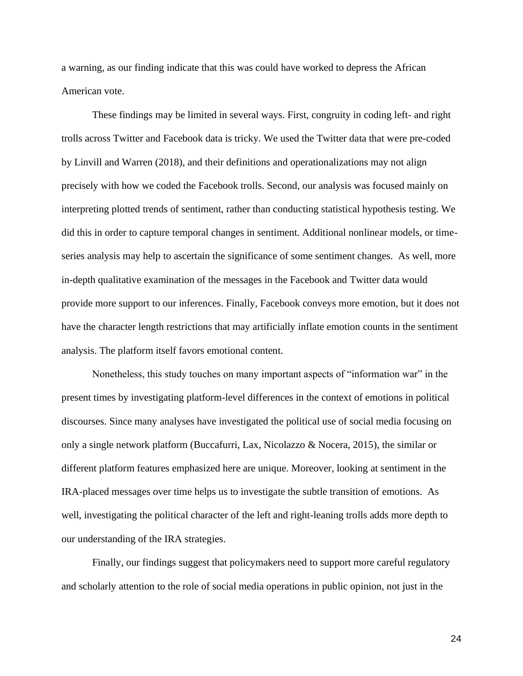a warning, as our finding indicate that this was could have worked to depress the African American vote.

These findings may be limited in several ways. First, congruity in coding left- and right trolls across Twitter and Facebook data is tricky. We used the Twitter data that were pre-coded by Linvill and Warren (2018), and their definitions and operationalizations may not align precisely with how we coded the Facebook trolls. Second, our analysis was focused mainly on interpreting plotted trends of sentiment, rather than conducting statistical hypothesis testing. We did this in order to capture temporal changes in sentiment. Additional nonlinear models, or timeseries analysis may help to ascertain the significance of some sentiment changes. As well, more in-depth qualitative examination of the messages in the Facebook and Twitter data would provide more support to our inferences. Finally, Facebook conveys more emotion, but it does not have the character length restrictions that may artificially inflate emotion counts in the sentiment analysis. The platform itself favors emotional content.

Nonetheless, this study touches on many important aspects of "information war" in the present times by investigating platform-level differences in the context of emotions in political discourses. Since many analyses have investigated the political use of social media focusing on only a single network platform (Buccafurri, Lax, Nicolazzo & Nocera, 2015), the similar or different platform features emphasized here are unique. Moreover, looking at sentiment in the IRA-placed messages over time helps us to investigate the subtle transition of emotions. As well, investigating the political character of the left and right-leaning trolls adds more depth to our understanding of the IRA strategies.

Finally, our findings suggest that policymakers need to support more careful regulatory and scholarly attention to the role of social media operations in public opinion, not just in the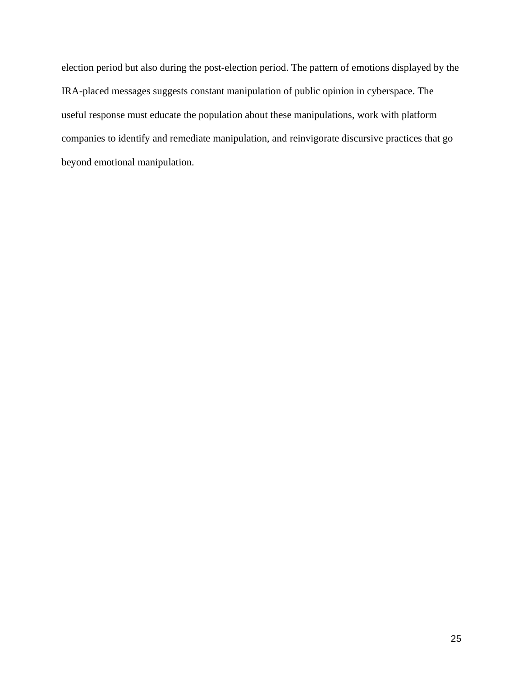election period but also during the post-election period. The pattern of emotions displayed by the IRA-placed messages suggests constant manipulation of public opinion in cyberspace. The useful response must educate the population about these manipulations, work with platform companies to identify and remediate manipulation, and reinvigorate discursive practices that go beyond emotional manipulation.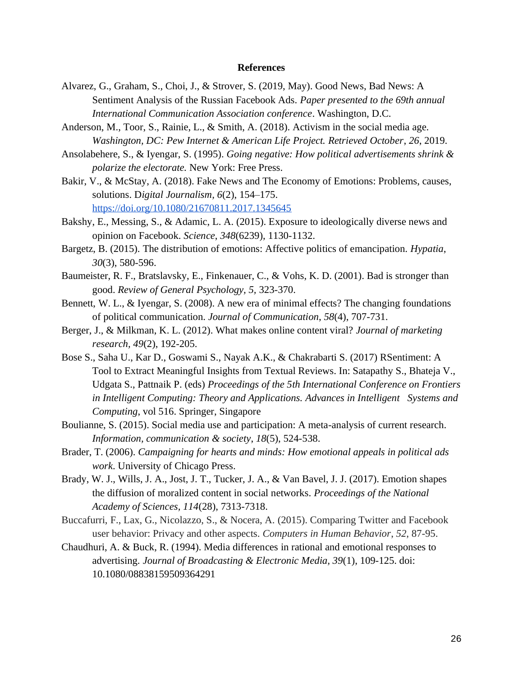#### **References**

- Alvarez, G., Graham, S., Choi, J., & Strover, S. (2019, May). Good News, Bad News: A Sentiment Analysis of the Russian Facebook Ads. *Paper presented to the 69th annual International Communication Association conference*. Washington, D.C.
- Anderson, M., Toor, S., Rainie, L., & Smith, A. (2018). Activism in the social media age. *Washington, DC: Pew Internet & American Life Project. Retrieved October*, *26*, 2019.
- Ansolabehere, S., & Iyengar, S. (1995). *Going negative: How political advertisements shrink & polarize the electorate.* New York: Free Press.
- Bakir, V., & McStay, A. (2018). Fake News and The Economy of Emotions: Problems, causes, solutions. D*igital Journalism, 6*(2), 154–175. <https://doi.org/10.1080/21670811.2017.1345645>
- Bakshy, E., Messing, S., & Adamic, L. A. (2015). Exposure to ideologically diverse news and opinion on Facebook. *Science*, *348*(6239), 1130-1132.
- Bargetz, B. (2015). The distribution of emotions: Affective politics of emancipation. *Hypatia*, *30*(3), 580-596.
- Baumeister, R. F., Bratslavsky, E., Finkenauer, C., & Vohs, K. D. (2001). Bad is stronger than good. *Review of General Psychology, 5,* 323-370.
- Bennett, W. L., & Iyengar, S. (2008). A new era of minimal effects? The changing foundations of political communication. *Journal of Communication*, *58*(4), 707-731.
- Berger, J., & Milkman, K. L. (2012). What makes online content viral? *Journal of marketing research, 49*(2), 192-205.
- Bose S., Saha U., Kar D., Goswami S., Nayak A.K., & Chakrabarti S. (2017) RSentiment: A Tool to Extract Meaningful Insights from Textual Reviews. In: Satapathy S., Bhateja V., Udgata S., Pattnaik P. (eds) *Proceedings of the 5th International Conference on Frontiers in Intelligent Computing: Theory and Applications. Advances in Intelligent Systems and Computing*, vol 516. Springer, Singapore
- Boulianne, S. (2015). Social media use and participation: A meta-analysis of current research. *Information, communication & society*, *18*(5), 524-538.
- Brader, T. (2006). *Campaigning for hearts and minds: How emotional appeals in political ads work*. University of Chicago Press.
- Brady, W. J., Wills, J. A., Jost, J. T., Tucker, J. A., & Van Bavel, J. J. (2017). Emotion shapes the diffusion of moralized content in social networks. *Proceedings of the National Academy of Sciences, 114*(28), 7313-7318.
- Buccafurri, F., Lax, G., Nicolazzo, S., & Nocera, A. (2015). Comparing Twitter and Facebook user behavior: Privacy and other aspects. *Computers in Human Behavior*, *52*, 87-95.
- Chaudhuri, A. & Buck, R. (1994). Media differences in rational and emotional responses to advertising. *Journal of Broadcasting & Electronic Media, 39*(1), 109-125. doi: 10.1080/08838159509364291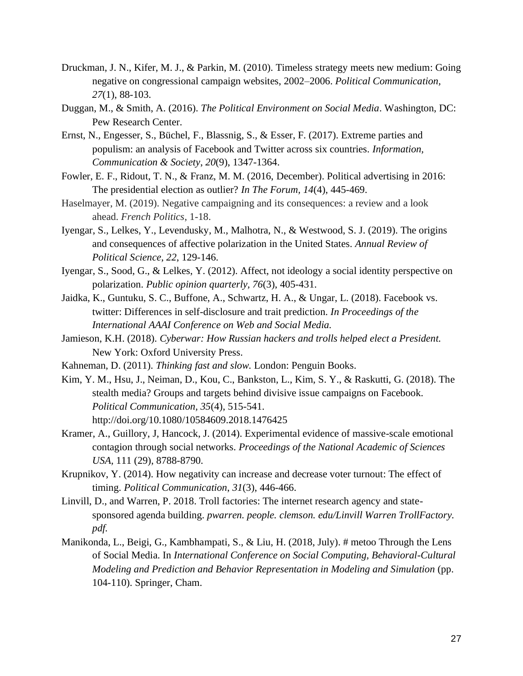- Druckman, J. N., Kifer, M. J., & Parkin, M. (2010). Timeless strategy meets new medium: Going negative on congressional campaign websites, 2002–2006. *Political Communication, 27*(1), 88-103.
- Duggan, M., & Smith, A. (2016). *The Political Environment on Social Media*. Washington, DC: Pew Research Center.
- Ernst, N., Engesser, S., Büchel, F., Blassnig, S., & Esser, F. (2017). Extreme parties and populism: an analysis of Facebook and Twitter across six countries. *Information, Communication & Society*, *20*(9), 1347-1364.
- Fowler, E. F., Ridout, T. N., & Franz, M. M. (2016, December). Political advertising in 2016: The presidential election as outlier? *In The Forum, 14*(4), 445-469.
- Haselmayer, M. (2019). Negative campaigning and its consequences: a review and a look ahead. *French Politics*, 1-18.
- Iyengar, S., Lelkes, Y., Levendusky, M., Malhotra, N., & Westwood, S. J. (2019). The origins and consequences of affective polarization in the United States. *Annual Review of Political Science*, *22*, 129-146.
- Iyengar, S., Sood, G., & Lelkes, Y. (2012). Affect, not ideology a social identity perspective on polarization. *Public opinion quarterly, 76*(3), 405-431.
- Jaidka, K., Guntuku, S. C., Buffone, A., Schwartz, H. A., & Ungar, L. (2018). Facebook vs. twitter: Differences in self-disclosure and trait prediction. *In Proceedings of the International AAAI Conference on Web and Social Media.*
- Jamieson, K.H. (2018). *Cyberwar: How Russian hackers and trolls helped elect a President.*  New York: Oxford University Press.
- Kahneman, D. (2011). *Thinking fast and slow.* London: Penguin Books.
- Kim, Y. M., Hsu, J., Neiman, D., Kou, C., Bankston, L., Kim, S. Y., & Raskutti, G. (2018). The stealth media? Groups and targets behind divisive issue campaigns on Facebook. *Political Communication, 35*(4), 515-541. http://doi.org/10.1080/10584609.2018.1476425
- Kramer, A., Guillory, J, Hancock, J. (2014). Experimental evidence of massive-scale emotional contagion through social networks. *Proceedings of the National Academic of Sciences USA,* 111 (29), 8788-8790.
- Krupnikov, Y. (2014). How negativity can increase and decrease voter turnout: The effect of timing. *Political Communication*, *31*(3), 446-466.
- Linvill, D., and Warren, P. 2018. Troll factories: The internet research agency and statesponsored agenda building. *pwarren. people. clemson. edu/Linvill Warren TrollFactory. pdf.*
- Manikonda, L., Beigi, G., Kambhampati, S., & Liu, H. (2018, July). # metoo Through the Lens of Social Media. In *International Conference on Social Computing, Behavioral-Cultural Modeling and Prediction and Behavior Representation in Modeling and Simulation* (pp. 104-110). Springer, Cham.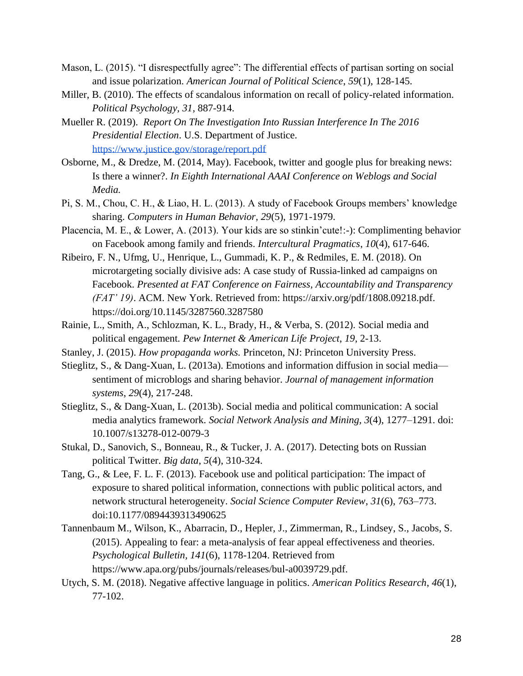- Mason, L. (2015). "I disrespectfully agree": The differential effects of partisan sorting on social and issue polarization. *American Journal of Political Science*, *59*(1), 128-145.
- Miller, B. (2010). The effects of scandalous information on recall of policy-related information. *Political Psychology, 31*, 887-914.
- Mueller R. (2019). *Report On The Investigation Into Russian Interference In The 2016 Presidential Election*. U.S. Department of Justice. <https://www.justice.gov/storage/report.pdf>
- Osborne, M., & Dredze, M. (2014, May). Facebook, twitter and google plus for breaking news: Is there a winner?. *In Eighth International AAAI Conference on Weblogs and Social Media.*
- Pi, S. M., Chou, C. H., & Liao, H. L. (2013). A study of Facebook Groups members' knowledge sharing. *Computers in Human Behavior, 29*(5), 1971-1979.
- Placencia, M. E., & Lower, A. (2013). Your kids are so stinkin'cute!:-): Complimenting behavior on Facebook among family and friends. *Intercultural Pragmatics*, *10*(4), 617-646.
- Ribeiro, F. N., Ufmg, U., Henrique, L., Gummadi, K. P., & Redmiles, E. M. (2018). On microtargeting socially divisive ads: A case study of Russia-linked ad campaigns on Facebook. *Presented at FAT Conference on Fairness, Accountability and Transparency (FAT' 19)*. ACM. New York. Retrieved from: https://arxiv.org/pdf/1808.09218.pdf. https://doi.org/10.1145/3287560.3287580
- Rainie, L., Smith, A., Schlozman, K. L., Brady, H., & Verba, S. (2012). Social media and political engagement. *Pew Internet & American Life Project*, *19*, 2-13.
- Stanley, J. (2015). *How propaganda works.* Princeton, NJ: Princeton University Press.
- Stieglitz, S., & Dang-Xuan, L. (2013a). Emotions and information diffusion in social media sentiment of microblogs and sharing behavior. *Journal of management information systems*, *29*(4), 217-248.
- Stieglitz, S., & Dang-Xuan, L. (2013b). Social media and political communication: A social media analytics framework. *Social Network Analysis and Mining, 3*(4), 1277–1291. doi: 10.1007/s13278-012-0079-3
- Stukal, D., Sanovich, S., Bonneau, R., & Tucker, J. A. (2017). Detecting bots on Russian political Twitter. *Big data*, *5*(4), 310-324.
- Tang, G., & Lee, F. L. F. (2013). Facebook use and political participation: The impact of exposure to shared political information, connections with public political actors, and network structural heterogeneity. *Social Science Computer Review*, *31*(6), 763–773. doi:10.1177/0894439313490625
- Tannenbaum M., Wilson, K., Abarracin, D., Hepler, J., Zimmerman, R., Lindsey, S., Jacobs, S. (2015). Appealing to fear: a meta-analysis of fear appeal effectiveness and theories. *Psychological Bulletin, 141*(6), 1178-1204. Retrieved from https://www.apa.org/pubs/journals/releases/bul-a0039729.pdf.
- Utych, S. M. (2018). Negative affective language in politics. *American Politics Research*, *46*(1), 77-102.